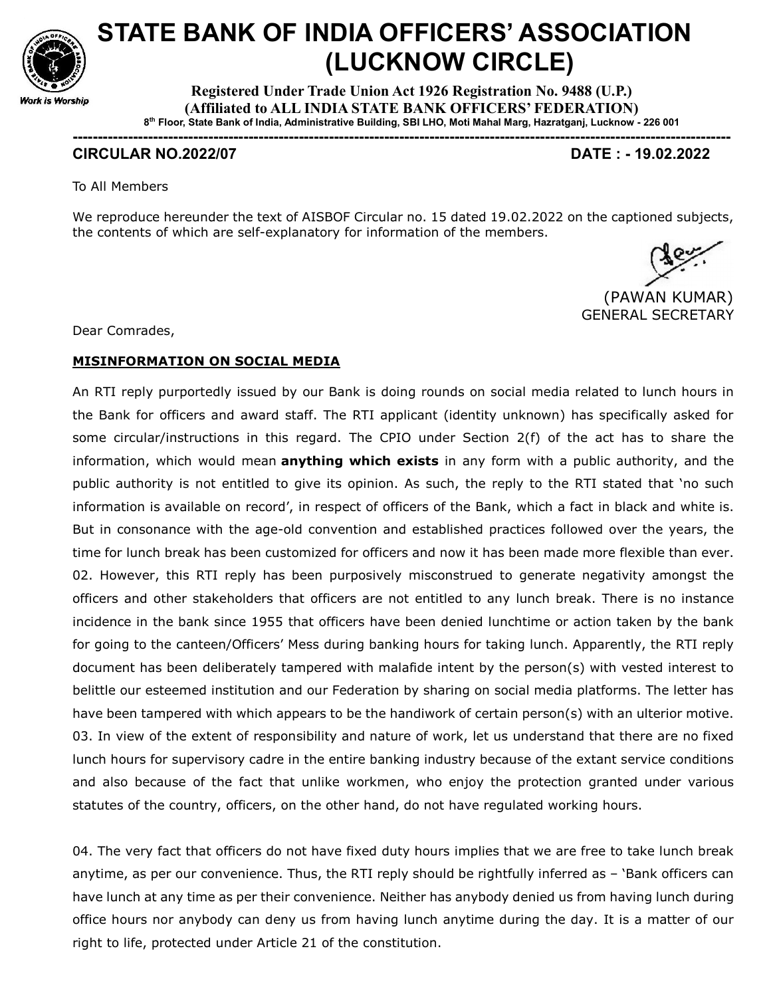

## STATE BANK OF INDIA OFFICERS' ASSOCIATION (LUCKNOW CIRCLE)

Registered Under Trade Union Act 1926 Registration No. 9488 (U.P.) (Affiliated to ALL INDIA STATE BANK OFFICERS' FEDERATION) 8 th Floor, State Bank of India, Administrative Building, SBI LHO, Moti Mahal Marg, Hazratganj, Lucknow - 226 001

-----------------------------------------------------------------------------------------------------------------------------------

## CIRCULAR NO.2022/07 DATE : - 19.02.2022

To All Members

We reproduce hereunder the text of AISBOF Circular no. 15 dated 19.02.2022 on the captioned subjects, the contents of which are self-explanatory for information of the members.



Dear Comrades,

## MISINFORMATION ON SOCIAL MEDIA

An RTI reply purportedly issued by our Bank is doing rounds on social media related to lunch hours in the Bank for officers and award staff. The RTI applicant (identity unknown) has specifically asked for some circular/instructions in this regard. The CPIO under Section 2(f) of the act has to share the information, which would mean **anything which exists** in any form with a public authority, and the public authority is not entitled to give its opinion. As such, the reply to the RTI stated that 'no such information is available on record', in respect of officers of the Bank, which a fact in black and white is. But in consonance with the age-old convention and established practices followed over the years, the time for lunch break has been customized for officers and now it has been made more flexible than ever. 02. However, this RTI reply has been purposively misconstrued to generate negativity amongst the officers and other stakeholders that officers are not entitled to any lunch break. There is no instance incidence in the bank since 1955 that officers have been denied lunchtime or action taken by the bank for going to the canteen/Officers' Mess during banking hours for taking lunch. Apparently, the RTI reply document has been deliberately tampered with malafide intent by the person(s) with vested interest to belittle our esteemed institution and our Federation by sharing on social media platforms. The letter has have been tampered with which appears to be the handiwork of certain person(s) with an ulterior motive. 03. In view of the extent of responsibility and nature of work, let us understand that there are no fixed lunch hours for supervisory cadre in the entire banking industry because of the extant service conditions and also because of the fact that unlike workmen, who enjoy the protection granted under various statutes of the country, officers, on the other hand, do not have regulated working hours.

04. The very fact that officers do not have fixed duty hours implies that we are free to take lunch break anytime, as per our convenience. Thus, the RTI reply should be rightfully inferred as – 'Bank officers can have lunch at any time as per their convenience. Neither has anybody denied us from having lunch during office hours nor anybody can deny us from having lunch anytime during the day. It is a matter of our right to life, protected under Article 21 of the constitution.